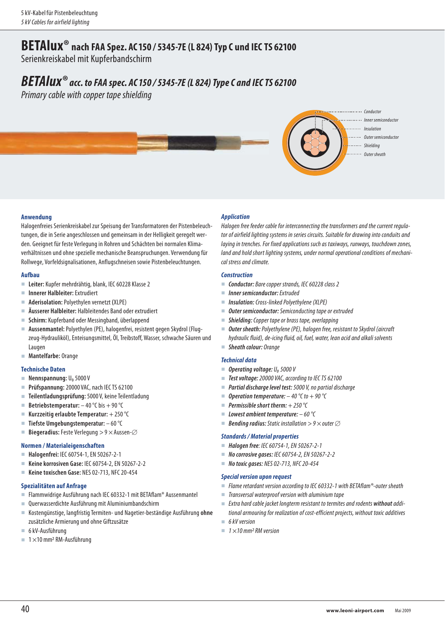## **BETAlux®****nach FAA Spez. AC150 / 5345-7E (L 824) Typ C und IEC TS 62100**

Serienkreiskabel mit Kupferbandschirm

# *BETAlux® acc. to FAA spec. AC150 / 5345-7E (L 824) Type C and IEC TS 62100*

Primary cable with copper tape shielding



## **Anwendung**

Halogenfreies Serienkreiskabel zur Speisung der Transformatoren der Pistenbeleuchtungen, die in Serie angeschlossen und gemeinsam in der Helligkeit geregelt werden. Geeignet für feste Verlegung in Rohren und Schächten bei normalen Klimaverhältnissen und ohne spezielle mechanische Beanspruchungen. Verwendung für Rollwege, Vorfeldsignalisationen, Anflugschneisen sowie Pistenbeleuchtungen.

### **Aufbau**

- **Leiter:** Kupfer mehrdrähtig, blank, IEC 60228 Klasse 2
- **Innerer Halbleiter:** Extrudiert
- **Aderisolation:** Polyethylen vernetzt **(**XLPE)
- **Äusserer Halbleiter:** Halbleitendes Band oder extrudiert
- **Schirm:** Kupferband oder Messingband, überlappend
- **Aussenmantel:** Polyethylen (PE), halogenfrei, resistent gegen Skydrol (Flugzeug-Hydrauliköl), Enteisungsmittel, Öl, Treibstoff, Wasser, schwache Säuren und Laugen
- **Mantelfarbe:** Orange

### **Technische Daten**

- **Nennspannung: U<sub>0</sub> 5000 V**
- **Prüfspannung:** 20000 VAC, nach IEC TS 62100
- **Teilentladungsprüfung:** 5000 V, keine Teilentladung
- **Betriebstemperatur:**  $-40^{\circ}$ C bis  $+90^{\circ}$ C
- Kurzzeitig erlaubte Temperatur: +250 °C
- **Tiefste Umgebungstemperatur:**  60 °C
- **Biegeradius:** Feste Verlegung  $> 9 \times$  Aussen- $\varnothing$

## **Normen / Materialeigenschaften**

- **Halogenfrei:** IEC 60754-1, EN 50267-2-1
- **Keine korrosiven Gase:** IEC 60754-2, EN 50267-2-2
- **Keine toxischen Gase:** NES 02-713, NFC 20-454

### **Spezialitäten auf Anfrage**

- Flammwidrige Ausführung nach IEC 60332-1 mit BETAflam® Aussenmantel
- Querwasserdichte Ausführung mit Aluminiumbandschirm
- Kostengünstige, langfristig Termiten- und Nagetier-beständige Ausführung **ohne** zusätzliche Armierung und ohne Giftzusätze
- 6 kV-Ausführung
- $\blacksquare$  1 × 10 mm<sup>2</sup> RM-Ausführung

## *Application*

Halogen free feeder cable for interconnecting the transformers and the current regulator of airfield lighting systems in series circuits. Suitable for drawing into conduits and laying in trenches. For fixed applications such as taxiways, runways, touchdown zones, land and hold short lighting systems, under normal operational conditions of mechanical stress and climate.

## *Construction*

- **Conductor:** Bare copper strands, IEC 60228 class 2
- *Inner semiconductor:* Extruded
- *Insulation:* Cross-linked Polyethylene (XLPE)
- *Outer semiconductor:* Semiconducting tape or extruded
- *Shielding:* Copper tape or brass tape, overlapping
- **Outer sheath:** Polyethylene (PE), halogen free, resistant to Skydrol (aircraft hydraulic fluid), de-icing fluid, oil, fuel, water, lean acid and alkali solvents
- *Sheath colour:* Orange

## *Technical data*

- **Operating voltage: U<sub>0</sub> 5000 V**
- *Test voltage:* 20000 VAC, according to IEC TS 62100
- *Partial discharge level test:* 5000 V, no partial discharge
- **Operation temperature:**  $-40$  °C to  $+90$  °C
- *Permissible short therm:* + 250 °C
- *Lowest ambient temperature:* 60 °C
- **Bending radius:** Static installation  $> 9 \times$  outer  $\varnothing$

## *Standards / Material properties*

- *Halogen free*: IEC 60754-1, EN 50267-2-1
- *No corrosive gases:* IEC 60754-2, EN 50267-2-2
- *No toxic gases:* NES 02-713, NFC 20-454

### *Special version upon request*

- Flame retardant version according to IEC 60332-1 with BETAflam®-outer sheath
- $\blacksquare$  Transversal waterproof version with aluminium tape
- Extra hard cable jacket longterm resistant to termites and rodents *without* additional armouring for realization of cost-efficient projects, without toxic additives

 $6$  kV version

 $\blacksquare$  1 × 10 mm<sup>2</sup> RM version